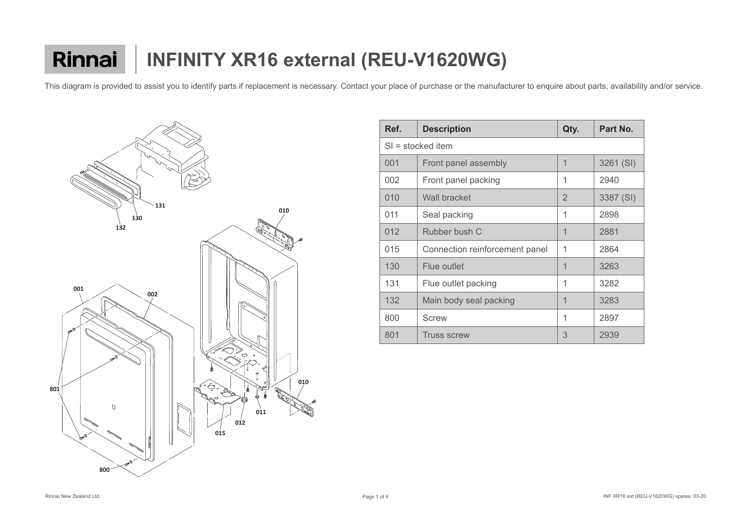

| Ref.                | <b>Description</b>             | Qty.           | Part No.  |  |  |
|---------------------|--------------------------------|----------------|-----------|--|--|
| $SI =$ stocked item |                                |                |           |  |  |
| 001                 | Front panel assembly           | 1              | 3261 (SI) |  |  |
| 002                 | Front panel packing            | 1              | 2940      |  |  |
| 010                 | <b>Wall bracket</b>            | $\overline{2}$ | 3387 (SI) |  |  |
| 011                 | Seal packing                   | 1              | 2898      |  |  |
| 012                 | Rubber bush C                  | 1              | 2881      |  |  |
| 015                 | Connection reinforcement panel | 1              | 2864      |  |  |
| 130                 | <b>Flue outlet</b>             | 1              | 3263      |  |  |
| 131                 | Flue outlet packing            | 1              | 3282      |  |  |
| 132                 | Main body seal packing         | 1              | 3283      |  |  |
| 800                 | <b>Screw</b>                   | 1              | 2897      |  |  |
| 801                 | <b>Truss screw</b>             | 3              | 2939      |  |  |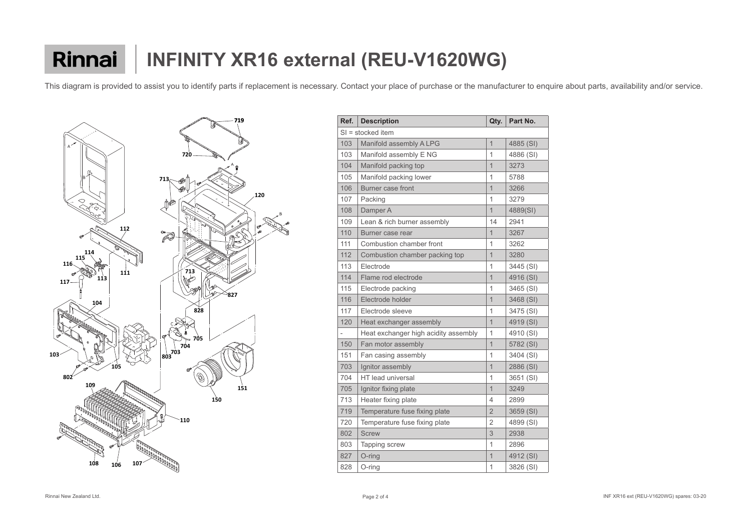

| Ref.                     | <b>Description</b>                   | Qty.           | Part No.  |
|--------------------------|--------------------------------------|----------------|-----------|
|                          | $SI =$ stocked item                  |                |           |
| 103                      | Manifold assembly A LPG              | $\mathbf{1}$   | 4885 (SI) |
| 103                      | Manifold assembly E NG               | 1              | 4886 (SI) |
| 104                      | Manifold packing top                 | $\overline{1}$ | 3273      |
| 105                      | Manifold packing lower               | 1              | 5788      |
| 106                      | <b>Burner case front</b>             | $\overline{1}$ | 3266      |
| 107                      | Packing                              | $\overline{1}$ | 3279      |
| 108                      | Damper A                             | $\overline{1}$ | 4889(SI)  |
| 109                      | Lean & rich burner assembly          | 14             | 2941      |
| 110                      | Burner case rear                     | 1              | 3267      |
| 111                      | <b>Combustion chamber front</b>      | 1              | 3262      |
| 112                      | Combustion chamber packing top       | $\overline{1}$ | 3280      |
| 113                      | Electrode                            | 1              | 3445 (SI) |
| 114                      | Flame rod electrode                  | $\overline{1}$ | 4916 (SI) |
| 115                      | Electrode packing                    | 1              | 3465 (SI) |
| 116                      | Electrode holder                     | 1              | 3468 (SI) |
| 117                      | Electrode sleeve                     | 1              | 3475 (SI) |
| 120                      | Heat exchanger assembly              | 1              | 4919 (SI) |
| $\overline{\phantom{a}}$ | Heat exchanger high acidity assembly | 1              | 4910 (SI) |
| 150                      | Fan motor assembly                   | $\overline{1}$ | 5782 (SI) |
| 151                      | Fan casing assembly                  | 1              | 3404 (SI) |
| 703                      | Ignitor assembly                     | $\overline{1}$ | 2886 (SI) |
| 704                      | HT lead universal                    | 1              | 3651 (SI) |
| 705                      | Ignitor fixing plate                 | $\overline{1}$ | 3249      |
| 713                      | Heater fixing plate                  | 4              | 2899      |
| 719                      | Temperature fuse fixing plate        | $\overline{2}$ | 3659 (SI) |
| 720                      | Temperature fuse fixing plate        | $\overline{2}$ | 4899 (SI) |
| 802                      | <b>Screw</b>                         | 3              | 2938      |
| 803                      | Tapping screw                        | 1              | 2896      |
| 827                      | O-ring                               | $\mathbf{1}$   | 4912 (SI) |
| 828                      | O-ring                               | 1              | 3826 (SI) |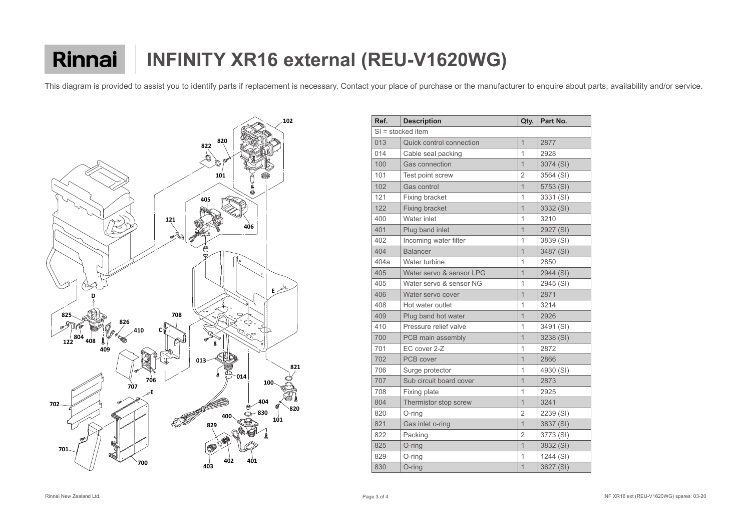

| Ref. | <b>Description</b>              | Qty.           | Part No.  |
|------|---------------------------------|----------------|-----------|
|      | SI = stocked item               |                |           |
| 013  | <b>Quick control connection</b> | $\overline{1}$ | 2877      |
| 014  | Cable seal packing              | $\overline{1}$ | 2928      |
| 100  | <b>Gas connection</b>           | $\overline{1}$ | 3074 (SI) |
| 101  | Test point screw                | $\overline{2}$ | 3564 (SI) |
| 102  | <b>Gas control</b>              | $\overline{1}$ | 5753 (SI) |
| 121  | <b>Fixing bracket</b>           | 1              | 3331 (SI) |
| 122  | <b>Fixing bracket</b>           | $\overline{1}$ | 3332 (SI) |
| 400  | Water inlet                     | $\overline{1}$ | 3210      |
| 401  | Plug band inlet                 | $\overline{1}$ | 2927 (SI) |
| 402  | Incoming water filter           | 1              | 3839 (SI) |
| 404  | <b>Balancer</b>                 | $\overline{1}$ | 3487 (SI) |
| 404a | Water turbine                   | 1              | 2850      |
| 405  | Water servo & sensor LPG        | $\overline{1}$ | 2944 (SI) |
| 405  | Water servo & sensor NG         | $\overline{1}$ | 2945 (SI) |
| 406  | Water servo cover               | $\overline{1}$ | 2871      |
| 408  | Hot water outlet                | 1              | 3214      |
| 409  | Plug band hot water             | $\overline{1}$ | 2926      |
| 410  | Pressure relief valve           | 1              | 3491 (SI) |
| 700  | PCB main assembly               | $\overline{1}$ | 3238 (SI) |
| 701  | EC cover 2-Z                    | 1              | 2872      |
| 702  | <b>PCB</b> cover                | $\overline{1}$ | 2866      |
| 706  | Surge protector                 | 1              | 4930 (SI) |
| 707  | Sub circuit board cover         | $\overline{1}$ | 2873      |
| 708  | <b>Fixing plate</b>             | 1              | 2925      |
| 804  | Thermistor stop screw           | $\mathbf 1$    | 3241      |
| 820  | O-ring                          | $\overline{2}$ | 2239 (SI) |
| 821  | Gas inlet o-ring                | $\overline{1}$ | 3837 (SI) |
| 822  | Packing                         | $\overline{2}$ | 3773 (SI) |
| 825  | O-ring                          | $\overline{1}$ | 3832 (SI) |
| 829  | O-ring                          | 1              | 1244 (SI) |
| 830  | O-ring                          | $\mathbf 1$    | 3627 (SI) |